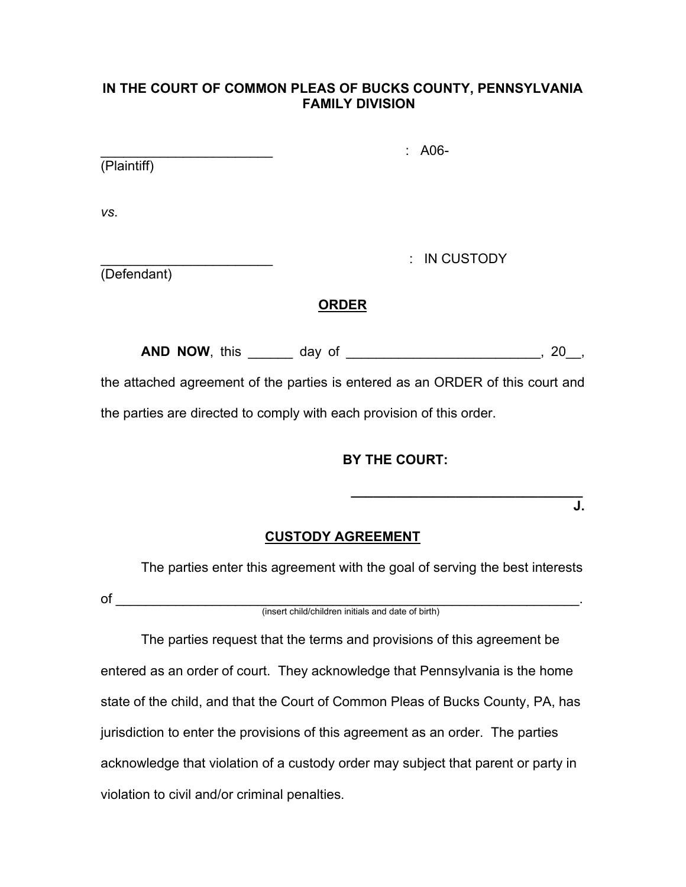#### **IN THE COURT OF COMMON PLEAS OF BUCKS COUNTY, PENNSYLVANIA FAMILY DIVISION**

| (Plaintiff) |  |  |
|-------------|--|--|
|             |  |  |

*vs*.

\_\_\_\_\_\_\_\_\_\_\_\_\_\_\_\_\_\_\_\_\_\_\_ : IN CUSTODY

\_\_\_\_\_\_\_\_\_\_\_\_\_\_\_\_\_\_\_\_\_\_\_ : A06-

(Defendant)

# **ORDER**

**AND NOW**, this \_\_\_\_\_\_ day of \_\_\_\_\_\_\_\_\_\_\_\_\_\_\_\_\_\_\_\_\_\_\_\_\_\_, 20\_\_,

the attached agreement of the parties is entered as an ORDER of this court and the parties are directed to comply with each provision of this order.

# **BY THE COURT:**

 **\_\_\_\_\_\_\_\_\_\_\_\_\_\_\_\_\_\_\_\_\_\_\_\_\_\_\_\_\_\_\_ J.**

### **CUSTODY AGREEMENT**

The parties enter this agreement with the goal of serving the best interests

of \_\_\_\_\_\_\_\_\_\_\_\_\_\_\_\_\_\_\_\_\_\_\_\_\_\_\_\_\_\_\_\_\_\_\_\_\_\_\_\_\_\_\_\_\_\_\_\_\_\_\_\_\_\_\_\_\_\_\_\_\_\_. (insert child/children initials and date of birth)

The parties request that the terms and provisions of this agreement be entered as an order of court. They acknowledge that Pennsylvania is the home state of the child, and that the Court of Common Pleas of Bucks County, PA, has jurisdiction to enter the provisions of this agreement as an order. The parties acknowledge that violation of a custody order may subject that parent or party in violation to civil and/or criminal penalties.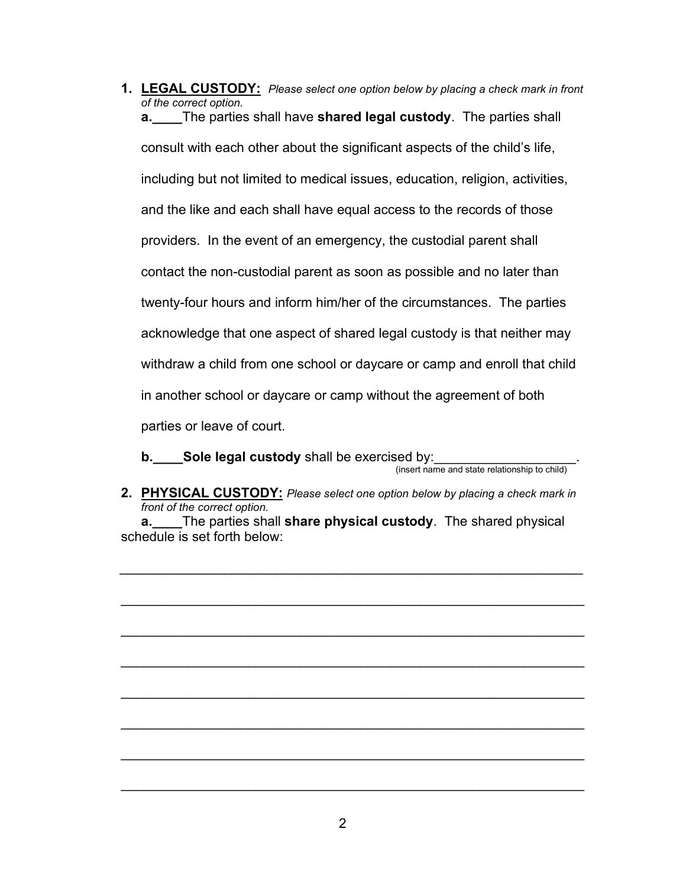**1. LEGAL CUSTODY:** *Please select one option below by placing a check mark in front of the correct option.*  **a.\_\_\_\_**The parties shall have **shared legal custody**. The parties shall consult with each other about the significant aspects of the child's life, including but not limited to medical issues, education, religion, activities, and the like and each shall have equal access to the records of those providers.In the event of an emergency, the custodial parent shall contact the non-custodial parent as soon as possible and no later than twenty-four hours and inform him/her of the circumstances. The parties acknowledge that one aspect of shared legal custody is that neither may withdraw a child from one school or daycare or camp and enroll that child in another school or daycare or camp without the agreement of both parties or leave of court.

**b.** Sole legal custody shall be exercised by:<br>
(insert name and state relationship to child)

**2. PHYSICAL CUSTODY:** *Please select one option below by placing a check mark in front of the correct option.* 

**a.\_\_\_\_**The parties shall **share physical custody**. The shared physical schedule is set forth below:

\_\_\_\_\_\_\_\_\_\_\_\_\_\_\_\_\_\_\_\_\_\_\_\_\_\_\_\_\_\_\_\_\_\_\_\_\_\_\_\_\_\_\_\_\_\_\_\_\_\_\_\_\_\_\_\_\_\_\_\_\_\_

\_\_\_\_\_\_\_\_\_\_\_\_\_\_\_\_\_\_\_\_\_\_\_\_\_\_\_\_\_\_\_\_\_\_\_\_\_\_\_\_\_\_\_\_\_\_\_\_\_\_\_\_\_\_\_\_\_\_\_\_\_\_

\_\_\_\_\_\_\_\_\_\_\_\_\_\_\_\_\_\_\_\_\_\_\_\_\_\_\_\_\_\_\_\_\_\_\_\_\_\_\_\_\_\_\_\_\_\_\_\_\_\_\_\_\_\_\_\_\_\_\_\_\_\_

\_\_\_\_\_\_\_\_\_\_\_\_\_\_\_\_\_\_\_\_\_\_\_\_\_\_\_\_\_\_\_\_\_\_\_\_\_\_\_\_\_\_\_\_\_\_\_\_\_\_\_\_\_\_\_\_\_\_\_\_\_\_

\_\_\_\_\_\_\_\_\_\_\_\_\_\_\_\_\_\_\_\_\_\_\_\_\_\_\_\_\_\_\_\_\_\_\_\_\_\_\_\_\_\_\_\_\_\_\_\_\_\_\_\_\_\_\_\_\_\_\_\_\_\_

\_\_\_\_\_\_\_\_\_\_\_\_\_\_\_\_\_\_\_\_\_\_\_\_\_\_\_\_\_\_\_\_\_\_\_\_\_\_\_\_\_\_\_\_\_\_\_\_\_\_\_\_\_\_\_\_\_\_\_\_\_\_

\_\_\_\_\_\_\_\_\_\_\_\_\_\_\_\_\_\_\_\_\_\_\_\_\_\_\_\_\_\_\_\_\_\_\_\_\_\_\_\_\_\_\_\_\_\_\_\_\_\_\_\_\_\_\_\_\_\_\_\_\_\_

\_\_\_\_\_\_\_\_\_\_\_\_\_\_\_\_\_\_\_\_\_\_\_\_\_\_\_\_\_\_\_\_\_\_\_\_\_\_\_\_\_\_\_\_\_\_\_\_\_\_\_\_\_\_\_\_\_\_\_\_\_\_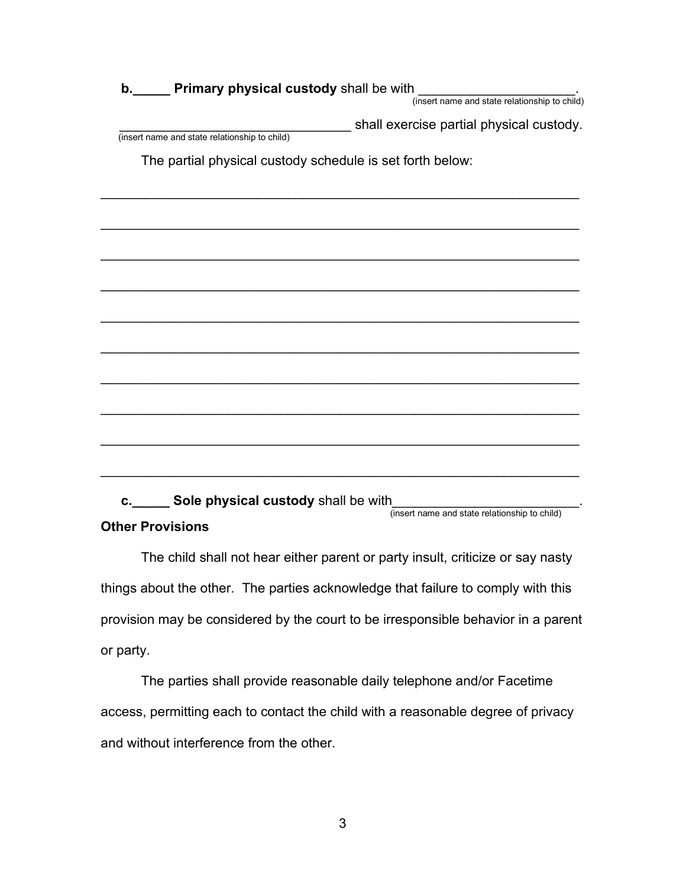| b. Primary physical custody shall be with<br>1<br>(insert name and state relationship to child) |
|-------------------------------------------------------------------------------------------------|
|                                                                                                 |
| shall exercise partial physical custody.                                                        |
| (insert name and state relationship to child)                                                   |
| The partial physical custody schedule is set forth below:                                       |
|                                                                                                 |
|                                                                                                 |
|                                                                                                 |
|                                                                                                 |
|                                                                                                 |
|                                                                                                 |
|                                                                                                 |
|                                                                                                 |
|                                                                                                 |
|                                                                                                 |
|                                                                                                 |
|                                                                                                 |
| c. Sole physical custody shall be with<br>(insert name and state relationship to child)         |

#### **Other Provisions**

The child shall not hear either parent or party insult, criticize or say nasty things about the other. The parties acknowledge that failure to comply with this provision may be considered by the court to be irresponsible behavior in a parent or party.

The parties shall provide reasonable daily telephone and/or Facetime access, permitting each to contact the child with a reasonable degree of privacy and without interference from the other.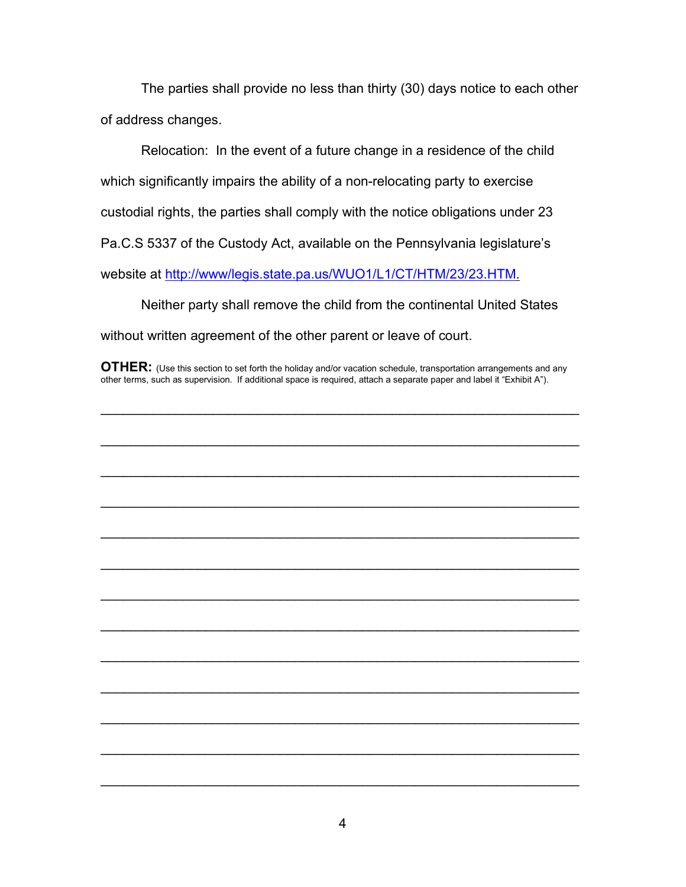The parties shall provide no less than thirty (30) days notice to each other of address changes.

Relocation: In the event of a future change in a residence of the child which significantly impairs the ability of a non-relocating party to exercise custodial rights, the parties shall comply with the notice obligations under 23 Pa.C.S 5337 of the Custody Act, available on the Pennsylvania legislature's website at [http://www/legis.state.pa.us/WUO1/L1/CT/HTM/23/23.HTM.](http://www/legis.state.pa.us/WUO1/L1/CT/HTM/23/23.HTM)

Neither party shall remove the child from the continental United States without written agreement of the other parent or leave of court.

**OTHER:** (Use this section to set forth the holiday and/or vacation schedule, transportation arrangements and any other terms, such as supervision. If additional space is required, attach a separate paper and label it "Exhibit A").